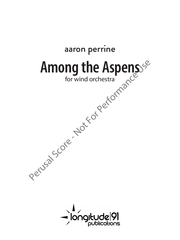

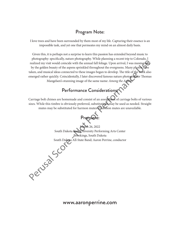## Program Note:

I love trees and have been surrounded by them most of my life. Capturing their essence is an impossible task, and yet one that permeates my mind on an almost daily basis.

Given this, it is perhaps not a surprise to learn this passion has extended beyond music to photography: specifically, nature photography. While planning a recent trip to Colorado, I realized my visit would coincide with the annual fall foliage. Upon arrival, I was mesmerized by the golden beauty of the aspens sprinkled throughout the evergreens. Many photos were taken, and musical ideas connected to these images began to develop. The title of the work also emerged rather quickly. Coincidentally, I later discovered famous nature photographer Thomas Mangelsen's stunning image of the same name: *Among the Aspens*.

## Performance Considerations

Carriage bolt chimes are homemade and consist of an assortment of carriage bolts of various sizes. While this timbre is obviously preferred, substitutions may be used as needed. Straight mutes may be substituted for harmon mutes if harmon mutes are unavailable.

Premiere:

March 26, 2022 South Dakota State University Performing Arts Center Brookings, South Dakota South Dakota All-State Band; Aaron Perrine, conductor Perusal Score

www.aaronperrine.com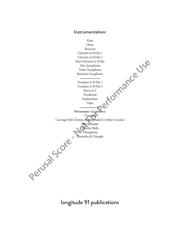## Instrumentation:



longitude 91 publications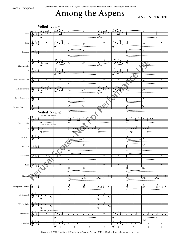## Among the Aspens

**AARON PERRINE** 



Copyright  $@$  2022 Longitude 91 Publications / Aaron Perrine (BMI) All Rights Reserved / aaronperrine.com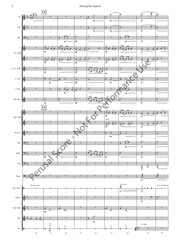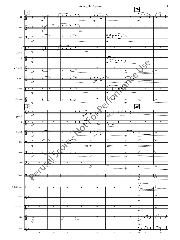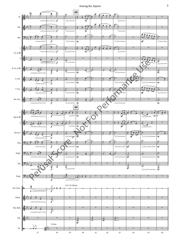Among the Aspens



5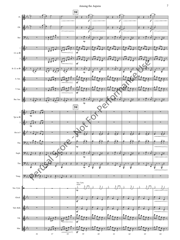Among the Aspens  $\overline{7}$ 

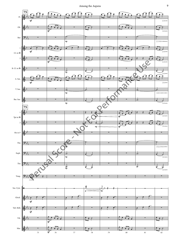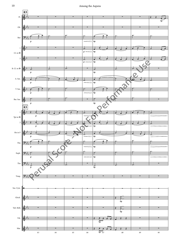